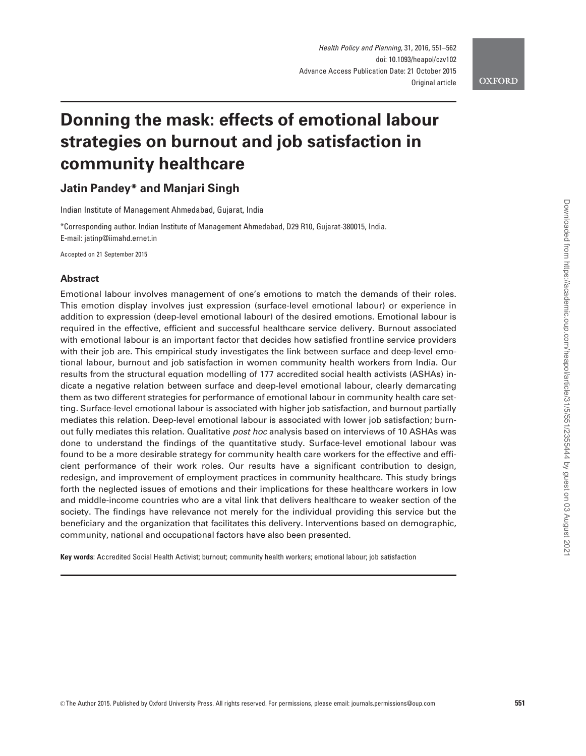Health Policy and Planning, 31, 2016, 551–562 doi: 10.1093/heapol/czv102 Advance Access Publication Date: 21 October 2015 Original article

**OXFORD** 

# Donning the mask: effects of emotional labour strategies on burnout and job satisfaction in community healthcare

## Jatin Pandey\* and Manjari Singh

Indian Institute of Management Ahmedabad, Gujarat, India

\*Corresponding author. Indian Institute of Management Ahmedabad, D29 R10, Gujarat-380015, India. E-mail: jatinp@iimahd.ernet.in

Accepted on 21 September 2015

## **Abstract**

Emotional labour involves management of one's emotions to match the demands of their roles. This emotion display involves just expression (surface-level emotional labour) or experience in addition to expression (deep-level emotional labour) of the desired emotions. Emotional labour is required in the effective, efficient and successful healthcare service delivery. Burnout associated with emotional labour is an important factor that decides how satisfied frontline service providers with their job are. This empirical study investigates the link between surface and deep-level emotional labour, burnout and job satisfaction in women community health workers from India. Our results from the structural equation modelling of 177 accredited social health activists (ASHAs) indicate a negative relation between surface and deep-level emotional labour, clearly demarcating them as two different strategies for performance of emotional labour in community health care setting. Surface-level emotional labour is associated with higher job satisfaction, and burnout partially mediates this relation. Deep-level emotional labour is associated with lower job satisfaction; burnout fully mediates this relation. Qualitative post hoc analysis based on interviews of 10 ASHAs was done to understand the findings of the quantitative study. Surface-level emotional labour was found to be a more desirable strategy for community health care workers for the effective and efficient performance of their work roles. Our results have a significant contribution to design, redesign, and improvement of employment practices in community healthcare. This study brings forth the neglected issues of emotions and their implications for these healthcare workers in low and middle-income countries who are a vital link that delivers healthcare to weaker section of the society. The findings have relevance not merely for the individual providing this service but the beneficiary and the organization that facilitates this delivery. Interventions based on demographic, community, national and occupational factors have also been presented.

Key words: Accredited Social Health Activist; burnout; community health workers; emotional labour; job satisfaction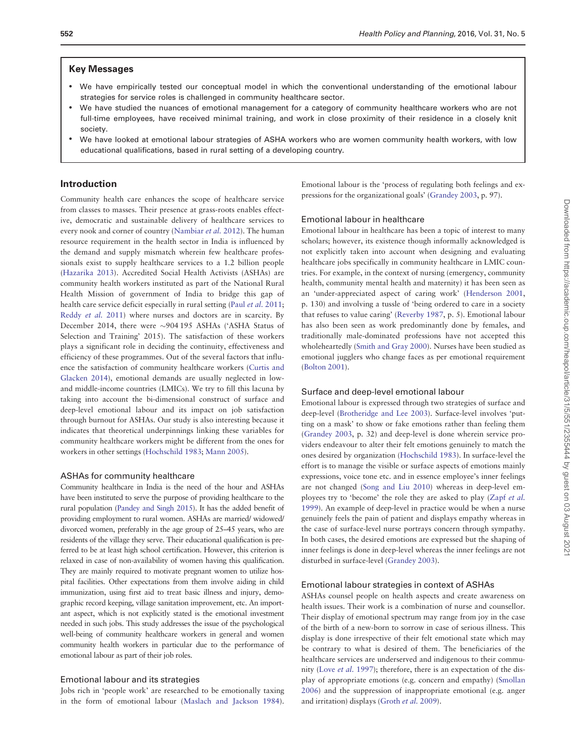## Key Messages

- We have empirically tested our conceptual model in which the conventional understanding of the emotional labour strategies for service roles is challenged in community healthcare sector.
- We have studied the nuances of emotional management for a category of community healthcare workers who are not full-time employees, have received minimal training, and work in close proximity of their residence in a closely knit society.
- We have looked at emotional labour strategies of ASHA workers who are women community health workers, with low educational qualifications, based in rural setting of a developing country.

## Introduction

Community health care enhances the scope of healthcare service from classes to masses. Their presence at grass-roots enables effective, democratic and sustainable delivery of healthcare services to every nook and corner of country (Nambiar *et al.* 2012). The human resource requirement in the health sector in India is influenced by the demand and supply mismatch wherein few healthcare professionals exist to supply healthcare services to a 1.2 billion people (Hazarika 2013). Accredited Social Health Activists (ASHAs) are community health workers instituted as part of the National Rural Health Mission of government of India to bridge this gap of health care service deficit especially in rural setting (Paul *et al.* 2011; Reddy *et al.* 2011) where nurses and doctors are in scarcity. By December 2014, there were ~904 195 ASHAs ('ASHA Status of Selection and Training' 2015). The satisfaction of these workers plays a significant role in deciding the continuity, effectiveness and efficiency of these programmes. Out of the several factors that influence the satisfaction of community healthcare workers (Curtis and Glacken 2014), emotional demands are usually neglected in lowand middle-income countries (LMICs). We try to fill this lacuna by taking into account the bi-dimensional construct of surface and deep-level emotional labour and its impact on job satisfaction through burnout for ASHAs. Our study is also interesting because it indicates that theoretical underpinnings linking these variables for community healthcare workers might be different from the ones for workers in other settings (Hochschild 1983; Mann 2005).

#### ASHAs for community healthcare

Community healthcare in India is the need of the hour and ASHAs have been instituted to serve the purpose of providing healthcare to the rural population (Pandey and Singh 2015). It has the added benefit of providing employment to rural women. ASHAs are married/ widowed/ divorced women, preferably in the age group of 25–45 years, who are residents of the village they serve. Their educational qualification is preferred to be at least high school certification. However, this criterion is relaxed in case of non-availability of women having this qualification. They are mainly required to motivate pregnant women to utilize hospital facilities. Other expectations from them involve aiding in child immunization, using first aid to treat basic illness and injury, demographic record keeping, village sanitation improvement, etc. An important aspect, which is not explicitly stated is the emotional investment needed in such jobs. This study addresses the issue of the psychological well-being of community healthcare workers in general and women community health workers in particular due to the performance of emotional labour as part of their job roles.

#### Emotional labour and its strategies

Jobs rich in 'people work' are researched to be emotionally taxing in the form of emotional labour (Maslach and Jackson 1984).

Emotional labour is the 'process of regulating both feelings and expressions for the organizational goals' (Grandey 2003, p. 97).

## Emotional labour in healthcare

Emotional labour in healthcare has been a topic of interest to many scholars; however, its existence though informally acknowledged is not explicitly taken into account when designing and evaluating healthcare jobs specifically in community healthcare in LMIC countries. For example, in the context of nursing (emergency, community health, community mental health and maternity) it has been seen as an 'under-appreciated aspect of caring work' (Henderson 2001, p. 130) and involving a tussle of 'being ordered to care in a society that refuses to value caring' (Reverby 1987, p. 5). Emotional labour has also been seen as work predominantly done by females, and traditionally male-dominated professions have not accepted this wholeheartedly (Smith and Gray 2000). Nurses have been studied as emotional jugglers who change faces as per emotional requirement (Bolton 2001).

#### Surface and deep-level emotional labour

Emotional labour is expressed through two strategies of surface and deep-level (Brotheridge and Lee 2003). Surface-level involves 'putting on a mask' to show or fake emotions rather than feeling them (Grandey 2003, p. 32) and deep-level is done wherein service providers endeavour to alter their felt emotions genuinely to match the ones desired by organization (Hochschild 1983). In surface-level the effort is to manage the visible or surface aspects of emotions mainly expressions, voice tone etc. and in essence employee's inner feelings are not changed (Song and Liu 2010) whereas in deep-level employees try to 'become' the role they are asked to play (Zapf *et al.* 1999). An example of deep-level in practice would be when a nurse genuinely feels the pain of patient and displays empathy whereas in the case of surface-level nurse portrays concern through sympathy. In both cases, the desired emotions are expressed but the shaping of inner feelings is done in deep-level whereas the inner feelings are not disturbed in surface-level (Grandey 2003).

#### Emotional labour strategies in context of ASHAs

ASHAs counsel people on health aspects and create awareness on health issues. Their work is a combination of nurse and counsellor. Their display of emotional spectrum may range from joy in the case of the birth of a new-born to sorrow in case of serious illness. This display is done irrespective of their felt emotional state which may be contrary to what is desired of them. The beneficiaries of the healthcare services are underserved and indigenous to their community (Love *et al.* 1997); therefore, there is an expectation of the display of appropriate emotions (e.g. concern and empathy) (Smollan 2006) and the suppression of inappropriate emotional (e.g. anger and irritation) displays (Groth *et al.* 2009).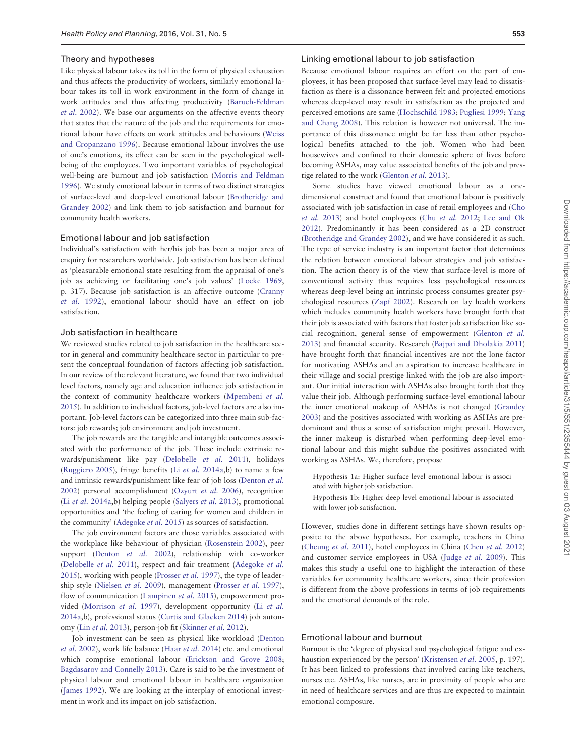#### Theory and hypotheses

Like physical labour takes its toll in the form of physical exhaustion and thus affects the productivity of workers, similarly emotional labour takes its toll in work environment in the form of change in work attitudes and thus affecting productivity (Baruch-Feldman *et al.* 2002). We base our arguments on the affective events theory that states that the nature of the job and the requirements for emotional labour have effects on work attitudes and behaviours (Weiss and Cropanzano 1996). Because emotional labour involves the use of one's emotions, its effect can be seen in the psychological wellbeing of the employees. Two important variables of psychological well-being are burnout and job satisfaction (Morris and Feldman 1996). We study emotional labour in terms of two distinct strategies of surface-level and deep-level emotional labour (Brotheridge and Grandey 2002) and link them to job satisfaction and burnout for community health workers.

#### Emotional labour and job satisfaction

Individual's satisfaction with her/his job has been a major area of enquiry for researchers worldwide. Job satisfaction has been defined as 'pleasurable emotional state resulting from the appraisal of one's job as achieving or facilitating one's job values' (Locke 1969, p. 317). Because job satisfaction is an affective outcome (Cranny *et al.* 1992), emotional labour should have an effect on job satisfaction.

## Job satisfaction in healthcare

We reviewed studies related to job satisfaction in the healthcare sector in general and community healthcare sector in particular to present the conceptual foundation of factors affecting job satisfaction. In our review of the relevant literature, we found that two individual level factors, namely age and education influence job satisfaction in the context of community healthcare workers (Mpembeni *et al.* 2015). In addition to individual factors, job-level factors are also important. Job-level factors can be categorized into three main sub-factors: job rewards; job environment and job investment.

The job rewards are the tangible and intangible outcomes associated with the performance of the job. These include extrinsic rewards/punishment like pay (Delobelle *et al.* 2011), holidays (Ruggiero 2005), fringe benefits (Li *et al.* 2014a,b) to name a few and intrinsic rewards/punishment like fear of job loss (Denton *et al.* 2002) personal accomplishment (Ozyurt *et al.* 2006), recognition (Li *et al.* 2014a,b) helping people (Salyers *et al.* 2013), promotional opportunities and 'the feeling of caring for women and children in the community' (Adegoke *et al.* 2015) as sources of satisfaction.

The job environment factors are those variables associated with the workplace like behaviour of physician (Rosenstein 2002), peer support (Denton *et al.* 2002), relationship with co-worker (Delobelle *et al.* 2011), respect and fair treatment (Adegoke *et al.* 2015), working with people (Prosser *et al.* 1997), the type of leadership style (Nielsen *et al.* 2009), management (Prosser *et al.* 1997), flow of communication (Lampinen *et al.* 2015), empowerment provided (Morrison *et al.* 1997), development opportunity (Li *et al.* 2014a,b), professional status (Curtis and Glacken 2014) job autonomy (Lin *et al.* 2013), person-job fit (Skinner *et al.* 2012).

Job investment can be seen as physical like workload (Denton *et al.* 2002), work life balance (Haar *et al.* 2014) etc. and emotional which comprise emotional labour (Erickson and Grove 2008; Bagdasarov and Connelly 2013). Care is said to be the investment of physical labour and emotional labour in healthcare organization (James 1992). We are looking at the interplay of emotional investment in work and its impact on job satisfaction.

#### Linking emotional labour to job satisfaction

Because emotional labour requires an effort on the part of employees, it has been proposed that surface-level may lead to dissatisfaction as there is a dissonance between felt and projected emotions whereas deep-level may result in satisfaction as the projected and perceived emotions are same (Hochschild 1983; Pugliesi 1999; Yang and Chang 2008). This relation is however not universal. The importance of this dissonance might be far less than other psychological benefits attached to the job. Women who had been housewives and confined to their domestic sphere of lives before becoming ASHAs, may value associated benefits of the job and prestige related to the work (Glenton *et al.* 2013).

Some studies have viewed emotional labour as a onedimensional construct and found that emotional labour is positively associated with job satisfaction in case of retail employees and (Cho *et al.* 2013) and hotel employees (Chu *et al.* 2012; Lee and Ok 2012). Predominantly it has been considered as a 2D construct (Brotheridge and Grandey 2002), and we have considered it as such. The type of service industry is an important factor that determines the relation between emotional labour strategies and job satisfaction. The action theory is of the view that surface-level is more of conventional activity thus requires less psychological resources whereas deep-level being an intrinsic process consumes greater psychological resources (Zapf 2002). Research on lay health workers which includes community health workers have brought forth that their job is associated with factors that foster job satisfaction like social recognition, general sense of empowerment (Glenton *et al.* 2013) and financial security. Research (Bajpai and Dholakia 2011) have brought forth that financial incentives are not the lone factor for motivating ASHAs and an aspiration to increase healthcare in their village and social prestige linked with the job are also important. Our initial interaction with ASHAs also brought forth that they value their job. Although performing surface-level emotional labour the inner emotional makeup of ASHAs is not changed (Grandey 2003) and the positives associated with working as ASHAs are predominant and thus a sense of satisfaction might prevail. However, the inner makeup is disturbed when performing deep-level emotional labour and this might subdue the positives associated with working as ASHAs. We, therefore, propose

Hypothesis 1a: Higher surface-level emotional labour is associated with higher job satisfaction.

Hypothesis 1b: Higher deep-level emotional labour is associated with lower job satisfaction.

However, studies done in different settings have shown results opposite to the above hypotheses. For example, teachers in China (Cheung *et al.* 2011), hotel employees in China (Chen *et al.* 2012) and customer service employees in USA (Judge *et al.* 2009). This makes this study a useful one to highlight the interaction of these variables for community healthcare workers, since their profession is different from the above professions in terms of job requirements and the emotional demands of the role.

## Emotional labour and burnout

Burnout is the 'degree of physical and psychological fatigue and exhaustion experienced by the person' (Kristensen *et al.* 2005, p. 197). It has been linked to professions that involved caring like teachers, nurses etc. ASHAs, like nurses, are in proximity of people who are in need of healthcare services and are thus are expected to maintain emotional composure.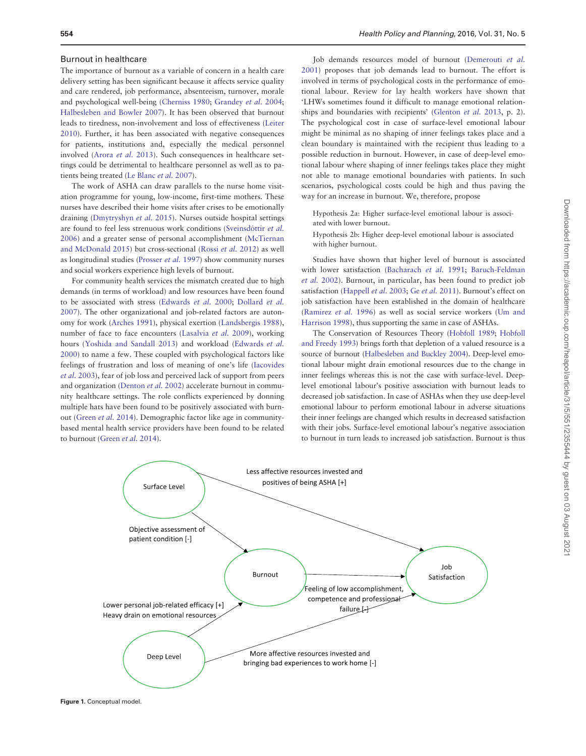#### Burnout in healthcare

The importance of burnout as a variable of concern in a health care delivery setting has been significant because it affects service quality and care rendered, job performance, absenteeism, turnover, morale and psychological well-being (Cherniss 1980; Grandey *et al.* 2004; Halbesleben and Bowler 2007). It has been observed that burnout leads to tiredness, non-involvement and loss of effectiveness (Leiter 2010). Further, it has been associated with negative consequences for patients, institutions and, especially the medical personnel involved (Arora *et al.* 2013). Such consequences in healthcare settings could be detrimental to healthcare personnel as well as to patients being treated (Le Blanc *et al.* 2007).

The work of ASHA can draw parallels to the nurse home visitation programme for young, low-income, first-time mothers. These nurses have described their home visits after crises to be emotionally draining (Dmytryshyn *et al.* 2015). Nurses outside hospital settings are found to feel less strenuous work conditions (Sveinsdóttir et al. 2006) and a greater sense of personal accomplishment (McTiernan and McDonald 2015) but cross-sectional (Rossi *et al.* 2012) as well as longitudinal studies (Prosser *et al.* 1997) show community nurses and social workers experience high levels of burnout.

For community health services the mismatch created due to high demands (in terms of workload) and low resources have been found to be associated with stress (Edwards *et al.* 2000; Dollard *et al.* 2007). The other organizational and job-related factors are autonomy for work (Arches 1991), physical exertion (Landsbergis 1988), number of face to face encounters (Lasalvia *et al.* 2009), working hours (Yoshida and Sandall 2013) and workload (Edwards *et al.* 2000) to name a few. These coupled with psychological factors like feelings of frustration and loss of meaning of one's life (Iacovides *et al.* 2003), fear of job loss and perceived lack of support from peers and organization (Denton *et al.* 2002) accelerate burnout in community healthcare settings. The role conflicts experienced by donning multiple hats have been found to be positively associated with burnout (Green *et al.* 2014). Demographic factor like age in communitybased mental health service providers have been found to be related to burnout (Green *et al.* 2014).

Job demands resources model of burnout (Demerouti *et al.* 2001) proposes that job demands lead to burnout. The effort is involved in terms of psychological costs in the performance of emotional labour. Review for lay health workers have shown that 'LHWs sometimes found it difficult to manage emotional relationships and boundaries with recipients' (Glenton *et al.* 2013, p. 2). The psychological cost in case of surface-level emotional labour might be minimal as no shaping of inner feelings takes place and a clean boundary is maintained with the recipient thus leading to a possible reduction in burnout. However, in case of deep-level emotional labour where shaping of inner feelings takes place they might not able to manage emotional boundaries with patients. In such scenarios, psychological costs could be high and thus paving the way for an increase in burnout. We, therefore, propose

Hypothesis 2a: Higher surface-level emotional labour is associated with lower burnout.

Hypothesis 2b: Higher deep-level emotional labour is associated with higher burnout.

Studies have shown that higher level of burnout is associated with lower satisfaction (Bacharach *et al.* 1991; Baruch-Feldman *et al.* 2002). Burnout, in particular, has been found to predict job satisfaction (Happell *et al.* 2003; Ge *et al.* 2011). Burnout's effect on job satisfaction have been established in the domain of healthcare (Ramirez *et al.* 1996) as well as social service workers (Um and Harrison 1998), thus supporting the same in case of ASHAs.

The Conservation of Resources Theory (Hobfoll 1989; Hobfoll and Freedy 1993) brings forth that depletion of a valued resource is a source of burnout (Halbesleben and Buckley 2004). Deep-level emotional labour might drain emotional resources due to the change in inner feelings whereas this is not the case with surface-level. Deeplevel emotional labour's positive association with burnout leads to decreased job satisfaction. In case of ASHAs when they use deep-level emotional labour to perform emotional labour in adverse situations their inner feelings are changed which results in decreased satisfaction with their jobs. Surface-level emotional labour's negative association to burnout in turn leads to increased job satisfaction. Burnout is thus



Figure 1. Conceptual model.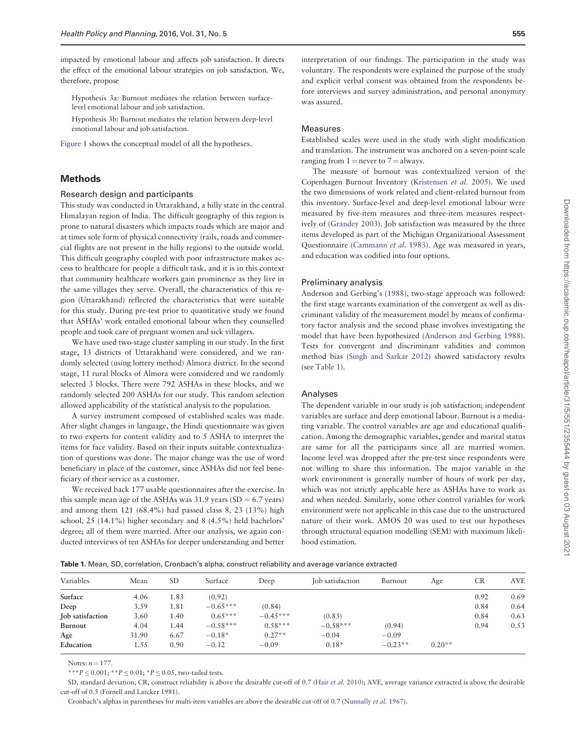impacted by emotional labour and affects job satisfaction. It directs the effect of the emotional labour strategies on job satisfaction. We, therefore, propose

Hypothesis 3a: Burnout mediates the relation between surfacelevel emotional labour and job satisfaction.

Hypothesis 3b: Burnout mediates the relation between deep-level emotional labour and job satisfaction.

Figure 1 shows the conceptual model of all the hypotheses.

## Methods

#### Research design and participants

This study was conducted in Uttarakhand, a hilly state in the central Himalayan region of India. The difficult geography of this region is prone to natural disasters which impacts roads which are major and at times sole form of physical connectivity (rails, roads and commercial flights are not present in the hilly regions) to the outside world. This difficult geography coupled with poor infrastructure makes access to healthcare for people a difficult task, and it is in this context that community healthcare workers gain prominence as they live in the same villages they serve. Overall, the characteristics of this region (Uttarakhand) reflected the characteristics that were suitable for this study. During pre-test prior to quantitative study we found that ASHAs' work entailed emotional labour when they counselled people and took care of pregnant women and sick villagers.

We have used two-stage cluster sampling in our study. In the first stage, 13 districts of Uttarakhand were considered, and we randomly selected (using lottery method) Almora district. In the second stage, 11 rural blocks of Almora were considered and we randomly selected 3 blocks. There were 792 ASHAs in these blocks, and we randomly selected 200 ASHAs for our study. This random selection allowed applicability of the statistical analysis to the population.

A survey instrument composed of established scales was made. After slight changes in language, the Hindi questionnaire was given to two experts for content validity and to 5 ASHA to interpret the items for face validity. Based on their inputs suitable contextualization of questions was done. The major change was the use of word beneficiary in place of the customer, since ASHAs did not feel beneficiary of their service as a customer.

We received back 177 usable questionnaires after the exercise. In this sample mean age of the ASHAs was  $31.9$  years (SD = 6.7 years) and among them 121 (68.4%) had passed class 8, 23 (13%) high school, 25 (14.1%) higher secondary and 8 (4.5%) held bachelors' degree; all of them were married. After our analysis, we again conducted interviews of ten ASHAs for deeper understanding and better

interpretation of our findings. The participation in the study was voluntary. The respondents were explained the purpose of the study and explicit verbal consent was obtained from the respondents before interviews and survey administration, and personal anonymity was assured.

## Measures

Established scales were used in the study with slight modification and translation. The instrument was anchored on a seven-point scale ranging from  $1 =$  never to  $7 =$  always.

The measure of burnout was contextualized version of the Copenhagen Burnout Inventory (Kristensen *et al.* 2005). We used the two dimensions of work related and client-related burnout from this inventory. Surface-level and deep-level emotional labour were measured by five-item measures and three-item measures respectively of (Grandey 2003). Job satisfaction was measured by the three items developed as part of the Michigan Organizational Assessment Questionnaire (Cammann *et al.* 1983). Age was measured in years, and education was codified into four options.

#### Preliminary analysis

Anderson and Gerbing's (1988), two-stage approach was followed: the first stage warrants examination of the convergent as well as discriminant validity of the measurement model by means of confirmatory factor analysis and the second phase involves investigating the model that have been hypothesized (Anderson and Gerbing 1988). Tests for convergent and discriminant validities and common method bias (Singh and Sarkar 2012) showed satisfactory results (see Table 1).

#### Analyses

The dependent variable in our study is job satisfaction; independent variables are surface and deep emotional labour. Burnout is a mediating variable. The control variables are age and educational qualification. Among the demographic variables, gender and marital status are same for all the participants since all are married women. Income level was dropped after the pre-test since respondents were not willing to share this information. The major variable in the work environment is generally number of hours of work per day, which was not strictly applicable here as ASHAs have to work as and when needed. Similarly, some other control variables for work environment were not applicable in this case due to the unstructured nature of their work. AMOS 20 was used to test our hypotheses through structural equation modelling (SEM) with maximum likelihood estimation.

Table 1. Mean, SD, correlation, Cronbach's alpha, construct reliability and average variance extracted

| Variables        | Mean  | <b>SD</b> | Surface    | Deep       | Job satisfaction | Burnout   | Age      | <b>CR</b> | <b>AVE</b> |
|------------------|-------|-----------|------------|------------|------------------|-----------|----------|-----------|------------|
| Surface          | 4.06  | 1.83      | (0.92)     |            |                  |           |          | 0.92      | 0.69       |
| Deep             | 3.59  | 1.81      | $-0.65***$ | (0.84)     |                  |           |          | 0.84      | 0.64       |
| Job satisfaction | 3.60  | 1.40      | $0.65***$  | $-0.45***$ | (0.83)           |           |          | 0.84      | 0.63       |
| Burnout          | 4.04  | 1.44      | $-0.58***$ | $0.58***$  | $-0.58***$       | (0.94)    |          | 0.94      | 0.53       |
| Age              | 31.90 | 6.67      | $-0.18*$   | $0.27**$   | $-0.04$          | $-0.09$   |          |           |            |
| Education        | 1.55  | 0.90      | $-0.12$    | $-0.09$    | $0.18*$          | $-0.23**$ | $0.20**$ |           |            |

Notes:  $n = 177$ .

\*\*\**P*  $\leq$  0.001; \*\**P*  $\leq$  0.01; \**P*  $\leq$  0.05, two-tailed tests.

SD, standard deviation; CR, construct reliability is above the desirable cut-off of 0.7 (Hair *et al.* 2010); AVE, average variance extracted is above the desirable cut-off of 0.5 (Fornell and Larcker 1981).

Cronbach's alphas in parentheses for multi-item variables are above the desirable cut-off of 0.7 (Nunnally *et al.* 1967).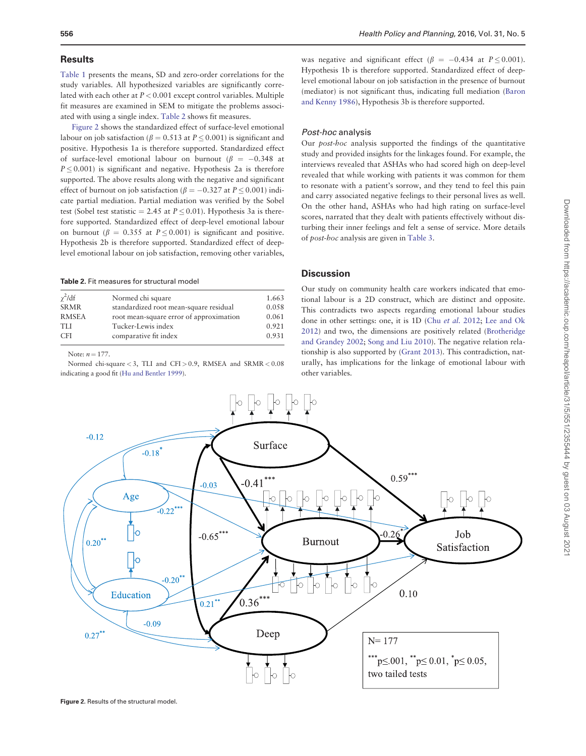## **Results**

Table 1 presents the means, SD and zero-order correlations for the study variables. All hypothesized variables are significantly correlated with each other at *P* < 0.001 except control variables. Multiple fit measures are examined in SEM to mitigate the problems associated with using a single index. Table 2 shows fit measures.

Figure 2 shows the standardized effect of surface-level emotional labour on job satisfaction ( $\beta = 0.513$  at  $P < 0.001$ ) is significant and positive. Hypothesis 1a is therefore supported. Standardized effect of surface-level emotional labour on burnout ( $\beta = -0.348$  at  $P \leq 0.001$ ) is significant and negative. Hypothesis 2a is therefore supported. The above results along with the negative and significant effect of burnout on job satisfaction ( $\beta = -0.327$  at  $P \le 0.001$ ) indicate partial mediation. Partial mediation was verified by the Sobel test (Sobel test statistic  $= 2.45$  at  $P \le 0.01$ ). Hypothesis 3a is therefore supported. Standardized effect of deep-level emotional labour on burnout ( $\beta = 0.355$  at  $P \le 0.001$ ) is significant and positive. Hypothesis 2b is therefore supported. Standardized effect of deeplevel emotional labour on job satisfaction, removing other variables,

Table 2. Fit measures for structural model

| $\gamma^2$ /df | Normed chi square                       | 1.663 |
|----------------|-----------------------------------------|-------|
| <b>SRMR</b>    | standardized root mean-square residual  | 0.058 |
| <b>RMSEA</b>   | root mean-square error of approximation | 0.061 |
| <b>TLI</b>     | Tucker-Lewis index                      | 0.921 |
| <b>CFI</b>     | comparative fit index                   | 0.931 |
|                |                                         |       |

Note:  $n = 177$ .

Normed chi-square < 3, TLI and CFI > 0.9, RMSEA and SRMR < 0.08 indicating a good fit (Hu and Bentler 1999).

was negative and significant effect  $\beta = -0.434$  at  $P < 0.001$ . Hypothesis 1b is therefore supported. Standardized effect of deeplevel emotional labour on job satisfaction in the presence of burnout (mediator) is not significant thus, indicating full mediation (Baron and Kenny 1986), Hypothesis 3b is therefore supported.

#### Post-hoc analysis

Our *post-hoc* analysis supported the findings of the quantitative study and provided insights for the linkages found. For example, the interviews revealed that ASHAs who had scored high on deep-level revealed that while working with patients it was common for them to resonate with a patient's sorrow, and they tend to feel this pain and carry associated negative feelings to their personal lives as well. On the other hand, ASHAs who had high rating on surface-level scores, narrated that they dealt with patients effectively without disturbing their inner feelings and felt a sense of service. More details of *post-hoc* analysis are given in Table 3.

## **Discussion**

Our study on community health care workers indicated that emotional labour is a 2D construct, which are distinct and opposite. This contradicts two aspects regarding emotional labour studies done in other settings: one, it is 1D (Chu *et al.* 2012; Lee and Ok 2012) and two, the dimensions are positively related (Brotheridge and Grandey 2002; Song and Liu 2010). The negative relation relationship is also supported by (Grant 2013). This contradiction, naturally, has implications for the linkage of emotional labour with other variables.



Figure 2. Results of the structural model.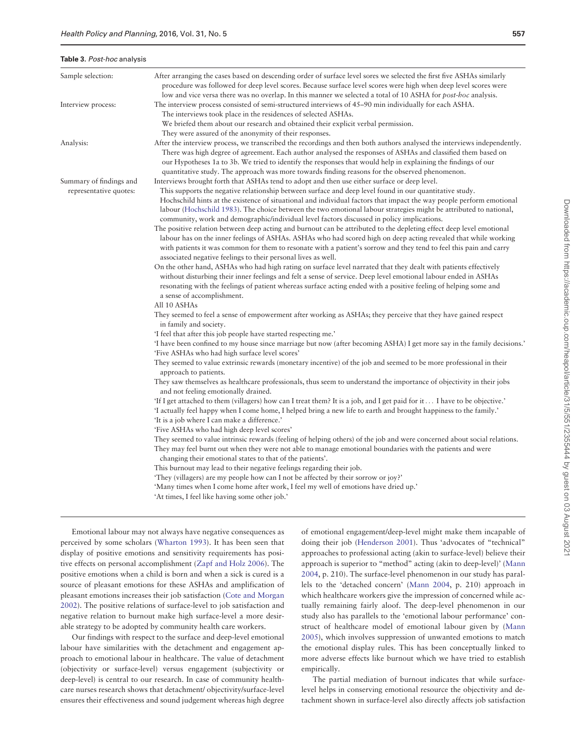#### Table 3. Post-hoc analysis

| ۰,<br>۰,<br>۰.<br>11<br>×<br>$ -$ |
|-----------------------------------|
|-----------------------------------|

| Sample selection:                                 | After arranging the cases based on descending order of surface level sores we selected the first five ASHAs similarly<br>procedure was followed for deep level scores. Because surface level scores were high when deep level scores were<br>low and vice versa there was no overlap. In this manner we selected a total of 10 ASHA for post-hoc analysis.                                                                                                                                                                                                                                                                                                                                                                                                                                                                                                                                                                                                                                                                                                                                                                                                                                                                                                                                                                                                                                                                                                                                                                                                                                                                                                                                                                                                                                                                                |
|---------------------------------------------------|-------------------------------------------------------------------------------------------------------------------------------------------------------------------------------------------------------------------------------------------------------------------------------------------------------------------------------------------------------------------------------------------------------------------------------------------------------------------------------------------------------------------------------------------------------------------------------------------------------------------------------------------------------------------------------------------------------------------------------------------------------------------------------------------------------------------------------------------------------------------------------------------------------------------------------------------------------------------------------------------------------------------------------------------------------------------------------------------------------------------------------------------------------------------------------------------------------------------------------------------------------------------------------------------------------------------------------------------------------------------------------------------------------------------------------------------------------------------------------------------------------------------------------------------------------------------------------------------------------------------------------------------------------------------------------------------------------------------------------------------------------------------------------------------------------------------------------------------|
| Interview process:                                | The interview process consisted of semi-structured interviews of 45-90 min individually for each ASHA.<br>The interviews took place in the residences of selected ASHAs.<br>We briefed them about our research and obtained their explicit verbal permission.                                                                                                                                                                                                                                                                                                                                                                                                                                                                                                                                                                                                                                                                                                                                                                                                                                                                                                                                                                                                                                                                                                                                                                                                                                                                                                                                                                                                                                                                                                                                                                             |
| Analysis:                                         | They were assured of the anonymity of their responses.<br>After the interview process, we transcribed the recordings and then both authors analysed the interviews independently.<br>There was high degree of agreement. Each author analysed the responses of ASHAs and classified them based on<br>our Hypotheses 1a to 3b. We tried to identify the responses that would help in explaining the findings of our                                                                                                                                                                                                                                                                                                                                                                                                                                                                                                                                                                                                                                                                                                                                                                                                                                                                                                                                                                                                                                                                                                                                                                                                                                                                                                                                                                                                                        |
| Summary of findings and<br>representative quotes: | quantitative study. The approach was more towards finding reasons for the observed phenomenon.<br>Interviews brought forth that ASHAs tend to adopt and then use either surface or deep level.<br>This supports the negative relationship between surface and deep level found in our quantitative study.<br>Hochschild hints at the existence of situational and individual factors that impact the way people perform emotional<br>labour (Hochschild 1983). The choice between the two emotional labour strategies might be attributed to national,<br>community, work and demographic/individual level factors discussed in policy implications.<br>The positive relation between deep acting and burnout can be attributed to the depleting effect deep level emotional<br>labour has on the inner feelings of ASHAs. ASHAs who had scored high on deep acting revealed that while working<br>with patients it was common for them to resonate with a patient's sorrow and they tend to feel this pain and carry<br>associated negative feelings to their personal lives as well.<br>On the other hand, ASHAs who had high rating on surface level narrated that they dealt with patients effectively<br>without disturbing their inner feelings and felt a sense of service. Deep level emotional labour ended in ASHAs<br>resonating with the feelings of patient whereas surface acting ended with a positive feeling of helping some and<br>a sense of accomplishment.<br>All 10 ASHAs<br>They seemed to feel a sense of empowerment after working as ASHAs; they perceive that they have gained respect<br>in family and society.<br>'I feel that after this job people have started respecting me.'<br>'I have been confined to my house since marriage but now (after becoming ASHA) I get more say in the family decisions.' |
|                                                   | 'Five ASHAs who had high surface level scores'<br>They seemed to value extrinsic rewards (monetary incentive) of the job and seemed to be more professional in their<br>approach to patients.<br>They saw themselves as healthcare professionals, thus seem to understand the importance of objectivity in their jobs<br>and not feeling emotionally drained.<br>'If I get attached to them (villagers) how can I treat them? It is a job, and I get paid for it I have to be objective.'<br>'I actually feel happy when I come home, I helped bring a new life to earth and brought happiness to the family.'<br>'It is a job where I can make a difference.'<br>'Five ASHAs who had high deep level scores'<br>They seemed to value intrinsic rewards (feeling of helping others) of the job and were concerned about social relations.<br>They may feel burnt out when they were not able to manage emotional boundaries with the patients and were<br>changing their emotional states to that of the patients'.<br>This burnout may lead to their negative feelings regarding their job.<br>'They (villagers) are my people how can I not be affected by their sorrow or joy?'<br>'Many times when I come home after work, I feel my well of emotions have dried up.'<br>'At times, I feel like having some other job.'                                                                                                                                                                                                                                                                                                                                                                                                                                                                                                               |

Emotional labour may not always have negative consequences as perceived by some scholars (Wharton 1993). It has been seen that display of positive emotions and sensitivity requirements has positive effects on personal accomplishment (Zapf and Holz 2006). The positive emotions when a child is born and when a sick is cured is a source of pleasant emotions for these ASHAs and amplification of pleasant emotions increases their job satisfaction (Cote and Morgan 2002). The positive relations of surface-level to job satisfaction and negative relation to burnout make high surface-level a more desirable strategy to be adopted by community health care workers.

Our findings with respect to the surface and deep-level emotional labour have similarities with the detachment and engagement approach to emotional labour in healthcare. The value of detachment (objectivity or surface-level) versus engagement (subjectivity or deep-level) is central to our research. In case of community healthcare nurses research shows that detachment/ objectivity/surface-level ensures their effectiveness and sound judgement whereas high degree of emotional engagement/deep-level might make them incapable of doing their job (Henderson 2001). Thus 'advocates of "technical" approaches to professional acting (akin to surface-level) believe their approach is superior to "method" acting (akin to deep-level)' (Mann 2004, p. 210). The surface-level phenomenon in our study has parallels to the 'detached concern' (Mann 2004, p. 210) approach in which healthcare workers give the impression of concerned while actually remaining fairly aloof. The deep-level phenomenon in our study also has parallels to the 'emotional labour performance' construct of healthcare model of emotional labour given by (Mann 2005), which involves suppression of unwanted emotions to match the emotional display rules. This has been conceptually linked to more adverse effects like burnout which we have tried to establish empirically.

The partial mediation of burnout indicates that while surfacelevel helps in conserving emotional resource the objectivity and detachment shown in surface-level also directly affects job satisfaction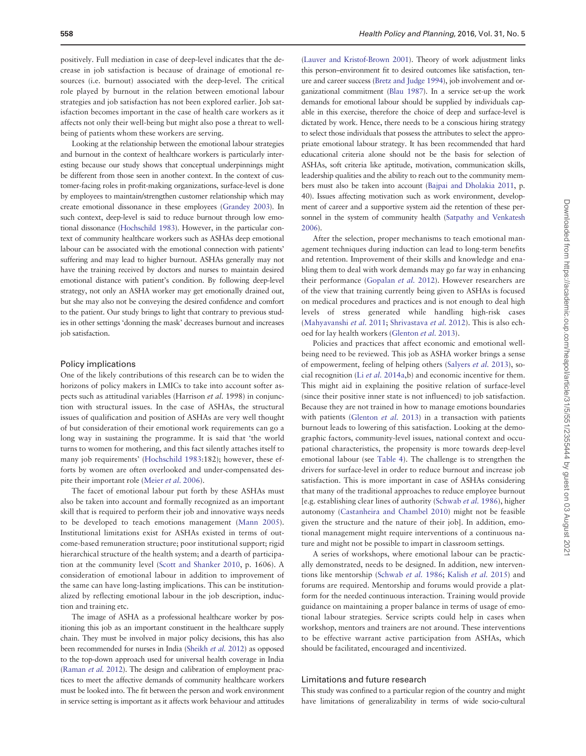positively. Full mediation in case of deep-level indicates that the decrease in job satisfaction is because of drainage of emotional resources (i.e. burnout) associated with the deep-level. The critical role played by burnout in the relation between emotional labour strategies and job satisfaction has not been explored earlier. Job satisfaction becomes important in the case of health care workers as it affects not only their well-being but might also pose a threat to wellbeing of patients whom these workers are serving.

Looking at the relationship between the emotional labour strategies and burnout in the context of healthcare workers is particularly interesting because our study shows that conceptual underpinnings might be different from those seen in another context. In the context of customer-facing roles in profit-making organizations, surface-level is done by employees to maintain/strengthen customer relationship which may create emotional dissonance in these employees (Grandey 2003). In such context, deep-level is said to reduce burnout through low emotional dissonance (Hochschild 1983). However, in the particular context of community healthcare workers such as ASHAs deep emotional labour can be associated with the emotional connection with patients' suffering and may lead to higher burnout. ASHAs generally may not have the training received by doctors and nurses to maintain desired emotional distance with patient's condition. By following deep-level strategy, not only an ASHA worker may get emotionally drained out, but she may also not be conveying the desired confidence and comfort to the patient. Our study brings to light that contrary to previous studies in other settings 'donning the mask' decreases burnout and increases job satisfaction.

## Policy implications

One of the likely contributions of this research can be to widen the horizons of policy makers in LMICs to take into account softer aspects such as attitudinal variables (Harrison *et al.* 1998) in conjunction with structural issues. In the case of ASHAs, the structural issues of qualification and position of ASHAs are very well thought of but consideration of their emotional work requirements can go a long way in sustaining the programme. It is said that 'the world turns to women for mothering, and this fact silently attaches itself to many job requirements' (Hochschild 1983:182); however, these efforts by women are often overlooked and under-compensated despite their important role (Meier *et al.* 2006).

The facet of emotional labour put forth by these ASHAs must also be taken into account and formally recognized as an important skill that is required to perform their job and innovative ways needs to be developed to teach emotions management (Mann 2005). Institutional limitations exist for ASHAs existed in terms of outcome-based remuneration structure; poor institutional support; rigid hierarchical structure of the health system; and a dearth of participation at the community level (Scott and Shanker 2010, p. 1606). A consideration of emotional labour in addition to improvement of the same can have long-lasting implications. This can be institutionalized by reflecting emotional labour in the job description, induction and training etc.

The image of ASHA as a professional healthcare worker by positioning this job as an important constituent in the healthcare supply chain. They must be involved in major policy decisions, this has also been recommended for nurses in India (Sheikh *et al.* 2012) as opposed to the top-down approach used for universal health coverage in India (Raman *et al.* 2012). The design and calibration of employment practices to meet the affective demands of community healthcare workers must be looked into. The fit between the person and work environment in service setting is important as it affects work behaviour and attitudes

(Lauver and Kristof-Brown 2001). Theory of work adjustment links this person–environment fit to desired outcomes like satisfaction, tenure and career success (Bretz and Judge 1994), job involvement and organizational commitment (Blau 1987). In a service set-up the work demands for emotional labour should be supplied by individuals capable in this exercise, therefore the choice of deep and surface-level is dictated by work. Hence, there needs to be a conscious hiring strategy to select those individuals that possess the attributes to select the appropriate emotional labour strategy. It has been recommended that hard educational criteria alone should not be the basis for selection of ASHAs, soft criteria like aptitude, motivation, communication skills, leadership qualities and the ability to reach out to the community members must also be taken into account (Bajpai and Dholakia 2011, p. 40). Issues affecting motivation such as work environment, development of career and a supportive system aid the retention of these personnel in the system of community health (Satpathy and Venkatesh 2006).

After the selection, proper mechanisms to teach emotional management techniques during induction can lead to long-term benefits and retention. Improvement of their skills and knowledge and enabling them to deal with work demands may go far way in enhancing their performance (Gopalan *et al.* 2012). However researchers are of the view that training currently being given to ASHAs is focused on medical procedures and practices and is not enough to deal high levels of stress generated while handling high-risk cases (Mahyavanshi *et al.* 2011; Shrivastava *et al.* 2012). This is also echoed for lay health workers (Glenton *et al.* 2013).

Policies and practices that affect economic and emotional wellbeing need to be reviewed. This job as ASHA worker brings a sense of empowerment, feeling of helping others (Salyers *et al.* 2013), social recognition (Li *et al.* 2014a,b) and economic incentive for them. This might aid in explaining the positive relation of surface-level (since their positive inner state is not influenced) to job satisfaction. Because they are not trained in how to manage emotions boundaries with patients (Glenton *et al.* 2013) in a transaction with patients burnout leads to lowering of this satisfaction. Looking at the demographic factors, community-level issues, national context and occupational characteristics, the propensity is more towards deep-level emotional labour (see Table 4). The challenge is to strengthen the drivers for surface-level in order to reduce burnout and increase job satisfaction. This is more important in case of ASHAs considering that many of the traditional approaches to reduce employee burnout [e.g. establishing clear lines of authority (Schwab *et al.* 1986), higher autonomy (Castanheira and Chambel 2010) might not be feasible given the structure and the nature of their job]. In addition, emotional management might require interventions of a continuous nature and might not be possible to impart in classroom settings.

A series of workshops, where emotional labour can be practically demonstrated, needs to be designed. In addition, new interventions like mentorship (Schwab *et al.* 1986; Kalish *et al.* 2015) and forums are required. Mentorship and forums would provide a platform for the needed continuous interaction. Training would provide guidance on maintaining a proper balance in terms of usage of emotional labour strategies. Service scripts could help in cases when workshop, mentors and trainers are not around. These interventions to be effective warrant active participation from ASHAs, which should be facilitated, encouraged and incentivized.

#### Limitations and future research

This study was confined to a particular region of the country and might have limitations of generalizability in terms of wide socio-cultural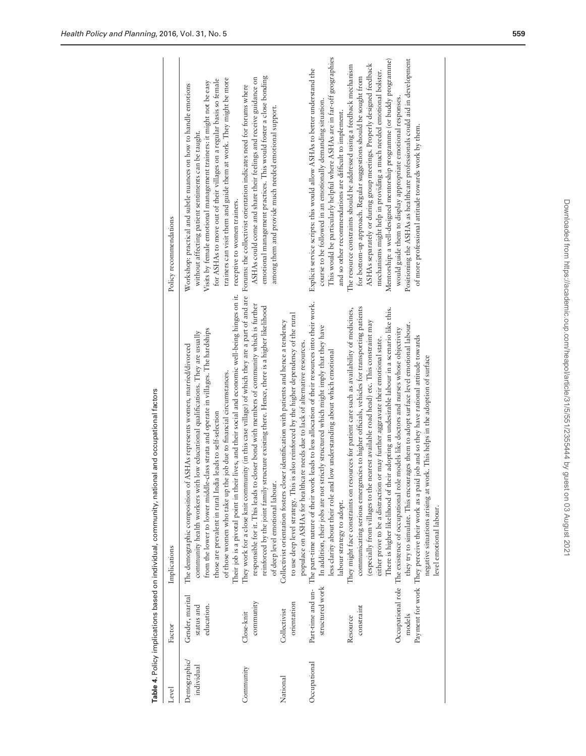| Level                     | Factor                                                                   | Implications                                                                                                                                                                                                                                                                                                                                                                                                                                                                                                                                                                                                                                                                                                                                                                                                                                                                                                                                                                                                                                                                                                                                                                               | Policy recommendations                                                                                                                                                                                                                                                                                                                                                                                                                                                                                                                                                                                                                                                                                                                                                                                                                                           |
|---------------------------|--------------------------------------------------------------------------|--------------------------------------------------------------------------------------------------------------------------------------------------------------------------------------------------------------------------------------------------------------------------------------------------------------------------------------------------------------------------------------------------------------------------------------------------------------------------------------------------------------------------------------------------------------------------------------------------------------------------------------------------------------------------------------------------------------------------------------------------------------------------------------------------------------------------------------------------------------------------------------------------------------------------------------------------------------------------------------------------------------------------------------------------------------------------------------------------------------------------------------------------------------------------------------------|------------------------------------------------------------------------------------------------------------------------------------------------------------------------------------------------------------------------------------------------------------------------------------------------------------------------------------------------------------------------------------------------------------------------------------------------------------------------------------------------------------------------------------------------------------------------------------------------------------------------------------------------------------------------------------------------------------------------------------------------------------------------------------------------------------------------------------------------------------------|
| Demographic<br>individual | Gender, marital<br>status and<br>education.                              | Their job is a pivotal point in their lives, and their social and economic well-being hinges on it.<br>from the lower to lower middle-class strata and operate in villages. The hardships<br>community health workers with low educational qualifications. They are usually<br>ASHAs represents women, married/divorced<br>of those women who take up the job due to financial circumstances.<br>those are prevalent in rural India leads to self-selection<br>The demographic composition of                                                                                                                                                                                                                                                                                                                                                                                                                                                                                                                                                                                                                                                                                              | trainers can visit them and guide them at work. They might be more<br>for ASHAs to move out of their villages on a regular basis so female<br>Visits by female emotional management trainers: it might not be easy<br>Workshop: practical and subtle nuances on how to handle emotions<br>without affecting patient sentiments can be taught.<br>receptive to women trainers.                                                                                                                                                                                                                                                                                                                                                                                                                                                                                    |
| Community                 | community<br>Close-knit                                                  | They work for a close knit community (in this case village) of which they are a part of and are Forums: the collectivist orientation indicates need for forums where<br>responsible for it. This leads to closer bond with members of community which is further<br>reinforced by the joint family structure existing there. Hence, there is a higher likelihood<br>of deep level emotional labour                                                                                                                                                                                                                                                                                                                                                                                                                                                                                                                                                                                                                                                                                                                                                                                         | emotional management practices. This would foster a close bonding<br>ASHAs could come and share their feelings and receive guidance on<br>among them and provide much needed emotional support.                                                                                                                                                                                                                                                                                                                                                                                                                                                                                                                                                                                                                                                                  |
| National                  | orientation<br>Collectivist                                              | is also reinforced by the higher dependency of the rural<br>Collectivist orientation fosters closer identification with patients and hence a tendency<br>populace on ASHAs for healthcare needs due to lack of alternative resources.<br>to use deep level strategy. This                                                                                                                                                                                                                                                                                                                                                                                                                                                                                                                                                                                                                                                                                                                                                                                                                                                                                                                  |                                                                                                                                                                                                                                                                                                                                                                                                                                                                                                                                                                                                                                                                                                                                                                                                                                                                  |
| Occupational              | Part-time and un-<br>structured work<br>constraint<br>models<br>Resource | The part-time nature of their work leads to less allocation of their resources into their work.<br>communicating serious emergencies to higher officials, vehicles for transporting patients<br>There is higher likelihood of their adopting an undesirable labour in a scenario like this.<br>They might face constraints on resources for patient care such as availability of medicines,<br>(especially from villages to the nearest available road head) etc. This constraint may<br>they try to simulate. This encourages them to adopt surface level emotional labour.<br>In addition, their jobs are not strictly structured which might imply that they have<br>Occupational role The existence of occupational role models like doctors and nurses whose objectivity<br>Payment for work They perceive their work as a paid job and so they have rational attitude towards<br>either prove to be a distraction or may further aggravate their emotional state.<br>less clarity about their role and low understanding about which emotional<br>negative situations arising at work. This helps in the adoption of surface<br>labour strategy to adopt.<br>level emotional labour. | This would be particularly helpful where ASHAs are in far-off geographies<br>Positioning the ASHAs as healthcare professionals could aid in development<br>Mentorship: a well-designed mentorship programme (or buddy programme)<br>ASHAs separately or during group meetings. Properly designed feedback<br>The resource constraints should be addressed using a feedback mechanism<br>Explicit service scripts: this would allow ASHAs to better understand the<br>mechanisms might help in providing a much needed emotional bolster.<br>for bottom-up approach. Regular suggestions should be sought from<br>would guide them to display appropriate emotional responses.<br>course to be followed in an emotionally demanding situation.<br>and so other recommendations are difficult to implement.<br>of more professional attitude towards work by them. |
|                           |                                                                          |                                                                                                                                                                                                                                                                                                                                                                                                                                                                                                                                                                                                                                                                                                                                                                                                                                                                                                                                                                                                                                                                                                                                                                                            |                                                                                                                                                                                                                                                                                                                                                                                                                                                                                                                                                                                                                                                                                                                                                                                                                                                                  |

Table 4. Policy implications based on individual, community, national and occupational factors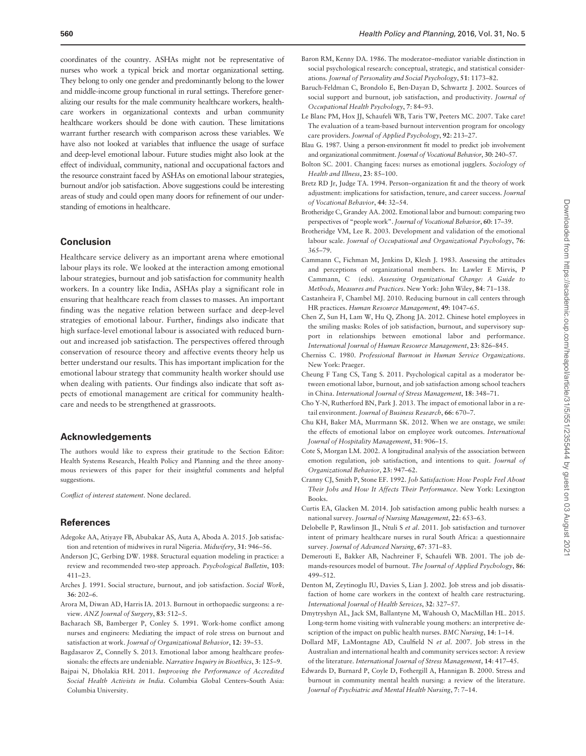coordinates of the country. ASHAs might not be representative of nurses who work a typical brick and mortar organizational setting. They belong to only one gender and predominantly belong to the lower and middle-income group functional in rural settings. Therefore generalizing our results for the male community healthcare workers, healthcare workers in organizational contexts and urban community healthcare workers should be done with caution. These limitations warrant further research with comparison across these variables. We have also not looked at variables that influence the usage of surface and deep-level emotional labour. Future studies might also look at the effect of individual, community, national and occupational factors and the resource constraint faced by ASHAs on emotional labour strategies, burnout and/or job satisfaction. Above suggestions could be interesting areas of study and could open many doors for refinement of our understanding of emotions in healthcare.

## Conclusion

Healthcare service delivery as an important arena where emotional labour plays its role. We looked at the interaction among emotional labour strategies, burnout and job satisfaction for community health workers. In a country like India, ASHAs play a significant role in ensuring that healthcare reach from classes to masses. An important finding was the negative relation between surface and deep-level strategies of emotional labour. Further, findings also indicate that high surface-level emotional labour is associated with reduced burnout and increased job satisfaction. The perspectives offered through conservation of resource theory and affective events theory help us better understand our results. This has important implication for the emotional labour strategy that community health worker should use when dealing with patients. Our findings also indicate that soft aspects of emotional management are critical for community healthcare and needs to be strengthened at grassroots.

## Acknowledgements

The authors would like to express their gratitude to the Section Editor: Health Systems Research, Health Policy and Planning and the three anonymous reviewers of this paper for their insightful comments and helpful suggestions.

*Conflict of interest statement*. None declared.

### References

- Adegoke AA, Atiyaye FB, Abubakar AS, Auta A, Aboda A. 2015. Job satisfaction and retention of midwives in rural Nigeria. *Midwifery*, 31: 946–56.
- Anderson JC, Gerbing DW. 1988. Structural equation modeling in practice: a review and recommended two-step approach. *Psychological Bulletin*, 103: 411–23.
- Arches J. 1991. Social structure, burnout, and job satisfaction. *Social Work*, 36: 202–6.
- Arora M, Diwan AD, Harris IA. 2013. Burnout in orthopaedic surgeons: a review. *ANZ Journal of Surgery*, 83: 512–5.
- Bacharach SB, Bamberger P, Conley S. 1991. Work-home conflict among nurses and engineers: Mediating the impact of role stress on burnout and satisfaction at work. *Journal of Organizational Behavior*, 12: 39–53.
- Bagdasarov Z, Connelly S. 2013. Emotional labor among healthcare professionals: the effects are undeniable. *Narrative Inquiry in Bioethics*, 3: 125–9.
- Bajpai N, Dholakia RH. 2011. *Improving the Performance of Accredited Social Health Activists in India*. Columbia Global Centers–South Asia: Columbia University.
- Baron RM, Kenny DA. 1986. The moderator–mediator variable distinction in social psychological research: conceptual, strategic, and statistical considerations. *Journal of Personality and Social Psychology*, 51: 1173–82.
- Baruch-Feldman C, Brondolo E, Ben-Dayan D, Schwartz J. 2002. Sources of social support and burnout, job satisfaction, and productivity. *Journal of Occupational Health Psychology*, 7: 84–93.
- Le Blanc PM, Hox JJ, Schaufeli WB, Taris TW, Peeters MC. 2007. Take care! The evaluation of a team-based burnout intervention program for oncology care providers. *Journal of Applied Psychology*, 92: 213–27.
- Blau G. 1987. Using a person-environment fit model to predict job involvement and organizational commitment. *Journal of Vocational Behavior*, 30: 240–57.
- Bolton SC. 2001. Changing faces: nurses as emotional jugglers. *Sociology of Health and Illness*, 23: 85–100.
- Bretz RD Jr, Judge TA. 1994. Person–organization fit and the theory of work adjustment: implications for satisfaction, tenure, and career success. *Journal of Vocational Behavior*, 44: 32–54.
- Brotheridge C, Grandey AA. 2002. Emotional labor and burnout: comparing two perspectives of "people work". *Journal of Vocational Behavior*, 60: 17–39.
- Brotheridge VM, Lee R. 2003. Development and validation of the emotional labour scale. *Journal of Occupational and Organizational Psychology*, 76: 365–79.
- Cammann C, Fichman M, Jenkins D, Klesh J. 1983. Assessing the attitudes and perceptions of organizational members. In: Lawler E Mirvis, P Cammann, C (eds). *Assessing Organizational Change: A Guide to Methods, Measures and Practices*. New York: John Wiley, 84: 71–138.
- Castanheira F, Chambel MJ. 2010. Reducing burnout in call centers through HR practices. *Human Resource Management*, 49: 1047–65.
- Chen Z, Sun H, Lam W, Hu Q, Zhong JA. 2012. Chinese hotel employees in the smiling masks: Roles of job satisfaction, burnout, and supervisory support in relationships between emotional labor and performance. *International Journal of Human Resource Management*, 23: 826–845.
- Cherniss C. 1980. *Professional Burnout in Human Service Organizations*. New York: Praeger.
- Cheung F Tang CS, Tang S. 2011. Psychological capital as a moderator between emotional labor, burnout, and job satisfaction among school teachers in China. *International Journal of Stress Management*, 18: 348–71.
- Cho Y-N, Rutherford BN, Park J. 2013. The impact of emotional labor in a retail environment. *Journal of Business Research*, 66: 670–7.
- Chu KH, Baker MA, Murrmann SK. 2012. When we are onstage, we smile: the effects of emotional labor on employee work outcomes. *International Journal of Hospitality Management*, 31: 906–15.
- Cote S, Morgan LM. 2002. A longitudinal analysis of the association between emotion regulation, job satisfaction, and intentions to quit. *Journal of Organizational Behavior*, 23: 947–62.
- Cranny CJ, Smith P, Stone EF. 1992. *Job Satisfaction: How People Feel About Their Jobs and How It Affects Their Performance*. New York: Lexington Books.
- Curtis EA, Glacken M. 2014. Job satisfaction among public health nurses: a national survey. *Journal of Nursing Management*, 22: 653–63.
- Delobelle P, Rawlinson JL, Ntuli S *et al*. 2011. Job satisfaction and turnover intent of primary healthcare nurses in rural South Africa: a questionnaire survey. *Journal of Advanced Nursing*, 67: 371–83.
- Demerouti E, Bakker AB, Nachreiner F, Schaufeli WB. 2001. The job demands-resources model of burnout. *The Journal of Applied Psychology*, 86: 499–512.
- Denton M, Zeytinoglu IU, Davies S, Lian J. 2002. Job stress and job dissatisfaction of home care workers in the context of health care restructuring. *International Journal of Health Services*, 32: 327–57.
- Dmytryshyn AL, Jack SM, Ballantyne M, Wahoush O, MacMillan HL. 2015. Long-term home visiting with vulnerable young mothers: an interpretive description of the impact on public health nurses. *BMC Nursing*, 14: 1–14.
- Dollard MF, LaMontagne AD, Caulfield N *et al*. 2007. Job stress in the Australian and international health and community services sector: A review of the literature. *International Journal of Stress Management*, 14: 417–45.
- Edwards D, Burnard P, Coyle D, Fothergill A, Hannigan B. 2000. Stress and burnout in community mental health nursing: a review of the literature. *Journal of Psychiatric and Mental Health Nursing*, 7: 7–14.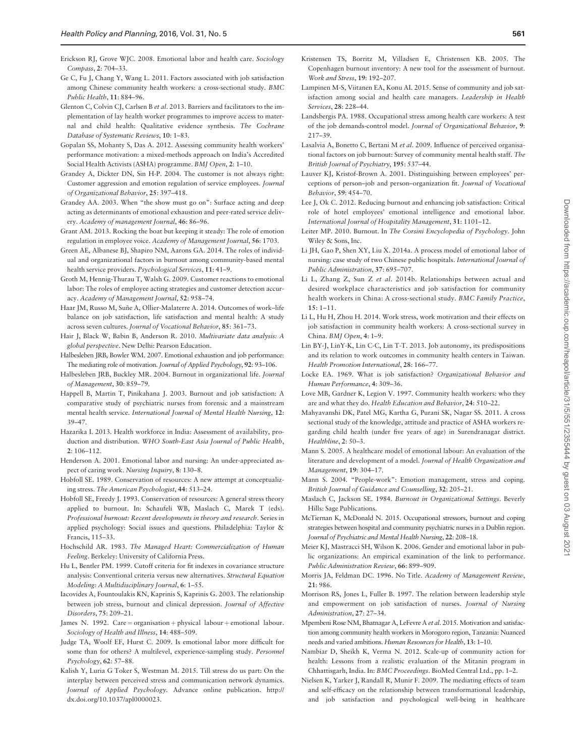- Erickson RJ, Grove WJC. 2008. Emotional labor and health care. *Sociology Compass*, 2: 704–33.
- Ge C, Fu J, Chang Y, Wang L. 2011. Factors associated with job satisfaction among Chinese community health workers: a cross-sectional study. *BMC Public Health*, 11: 884–96.
- Glenton C, Colvin CJ, Carlsen B *et al*. 2013. Barriers and facilitators to the implementation of lay health worker programmes to improve access to maternal and child health: Qualitative evidence synthesis. *The Cochrane Database of Systematic Reviews*, 10: 1–83.
- Gopalan SS, Mohanty S, Das A. 2012. Assessing community health workers' performance motivation: a mixed-methods approach on India's Accredited Social Health Activists (ASHA) programme. *BMJ Open*, 2: 1–10.
- Grandey A, Dickter DN, Sin H-P. 2004. The customer is not always right: Customer aggression and emotion regulation of service employees. *Journal of Organizational Behavior*, 25: 397–418.
- Grandey AA. 2003. When "the show must go on": Surface acting and deep acting as determinants of emotional exhaustion and peer-rated service delivery. *Academy of management Journal*, 46: 86–96.
- Grant AM. 2013. Rocking the boat but keeping it steady: The role of emotion regulation in employee voice. *Academy of Management Journal*, 56: 1703.
- Green AE, Albanese BJ, Shapiro NM, Aarons GA. 2014. The roles of individual and organizational factors in burnout among community-based mental health service providers. *Psychological Services*, 11: 41–9.
- Groth M, Hennig-Thurau T, Walsh G. 2009. Customer reactions to emotional labor: The roles of employee acting strategies and customer detection accuracy. *Academy of Management Journal*, 52: 958–74.
- Haar JM, Russo M, Suñe A, Ollier-Malaterre A. 2014. Outcomes of work-life balance on job satisfaction, life satisfaction and mental health: A study across seven cultures. *Journal of Vocational Behavior*, 85: 361–73.
- Hair J, Black W, Babin B, Anderson R. 2010. *Multivariate data analysis: A global perspective*. New Delhi: Pearson Education.
- Halbesleben JRB, Bowler WM. 2007. Emotional exhaustion and job performance: The mediating role of motivation.*Journal of Applied Psychology*, 92: 93–106.
- Halbesleben JRB, Buckley MR. 2004. Burnout in organizational life. *Journal of Management*, 30: 859–79.
- Happell B, Martin T, Pinikahana J. 2003. Burnout and job satisfaction: A comparative study of psychiatric nurses from forensic and a mainstream mental health service. *International Journal of Mental Health Nursing*, 12: 39–47.
- Hazarika I. 2013. Health workforce in India: Assessment of availability, production and distribution. *WHO South-East Asia Journal of Public Health*, 2: 106–112.
- Henderson A. 2001. Emotional labor and nursing: An under-appreciated aspect of caring work. *Nursing Inquiry*, 8: 130–8.
- Hobfoll SE. 1989. Conservation of resources: A new attempt at conceptualizing stress. *The American Psychologist*, 44: 513–24.
- Hobfoll SE, Freedy J. 1993. Conservation of resources: A general stress theory applied to burnout. In: Schaufeli WB, Maslach C, Marek T (eds). *Professional burnout: Recent developments in theory and research*. Series in applied psychology: Social issues and questions. Philadelphia: Taylor & Francis, 115–33.
- Hochschild AR. 1983. *The Managed Heart: Commercialization of Human Feeling*. Berkeley: University of California Press.
- Hu L, Bentler PM. 1999. Cutoff criteria for fit indexes in covariance structure analysis: Conventional criteria versus new alternatives. *Structural Equation Modeling: A Multidisciplinary Journal*, 6: 1–55.
- Iacovides A, Fountoulakis KN, Kaprinis S, Kaprinis G. 2003. The relationship between job stress, burnout and clinical depression. *Journal of Affective Disorders*, 75: 209–21.
- James N. 1992. Care = organisation + physical labour + emotional labour. *Sociology of Health and Illness*, 14: 488–509.
- Judge TA, Woolf EF, Hurst C. 2009. Is emotional labor more difficult for some than for others? A multilevel, experience-sampling study. *Personnel Psychology*, 62: 57–88.
- Kalish Y, Luria G Toker S, Westman M. 2015. Till stress do us part: On the interplay between perceived stress and communication network dynamics. *Journal of Applied Psychology*. Advance online publication. http:// dx.doi.org/10.1037/apl0000023.
- Kristensen TS, Borritz M, Villadsen E, Christensen KB. 2005. The Copenhagen burnout inventory: A new tool for the assessment of burnout. *Work and Stress*, 19: 192–207.
- Lampinen M-S, Viitanen EA, Konu AI. 2015. Sense of community and job satisfaction among social and health care managers. *Leadership in Health Services*, 28: 228–44.
- Landsbergis PA. 1988. Occupational stress among health care workers: A test of the job demands-control model. *Journal of Organizational Behavior*, 9: 217–39.
- Lasalvia A, Bonetto C, Bertani M *et al*. 2009. Influence of perceived organisational factors on job burnout: Survey of community mental health staff. *The British Journal of Psychiatry*, 195: 537–44.
- Lauver KJ, Kristof-Brown A. 2001. Distinguishing between employees' perceptions of person–job and person–organization fit. *Journal of Vocational Behavior*, 59: 454–70.
- Lee J, Ok C. 2012. Reducing burnout and enhancing job satisfaction: Critical role of hotel employees' emotional intelligence and emotional labor. *International Journal of Hospitality Management*, 31: 1101–12.
- Leiter MP. 2010. Burnout. In *The Corsini Encyclopedia of Psychology*. John Wiley & Sons, Inc.
- Li JH, Gao P, Shen XY, Liu X. 2014a. A process model of emotional labor of nursing: case study of two Chinese public hospitals. *International Journal of Public Administration*, 37: 695–707.
- Li L, Zhang Z, Sun Z *et al*. 2014b. Relationships between actual and desired workplace characteristics and job satisfaction for community health workers in China: A cross-sectional study. *BMC Family Practice*, 15: 1–11.
- Li L, Hu H, Zhou H. 2014. Work stress, work motivation and their effects on job satisfaction in community health workers: A cross-sectional survey in China. *BMJ Open*, 4: 1–9.
- Lin BY-J, LinY-K, Lin C-C, Lin T-T. 2013. Job autonomy, its predispositions and its relation to work outcomes in community health centers in Taiwan. *Health Promotion International*, 28: 166–77.
- Locke EA. 1969. What is job satisfaction? *Organizational Behavior and Human Performance*, 4: 309–36.
- Love MB, Gardner K, Legion V. 1997. Community health workers: who they are and what they do. *Health Education and Behavior*, 24: 510–22.
- Mahyavanshi DK, Patel MG, Kartha G, Purani SK, Nagar SS. 2011. A cross sectional study of the knowledge, attitude and practice of ASHA workers regarding child health (under five years of age) in Surendranagar district. *Healthline*, 2: 50–3.
- Mann S. 2005. A healthcare model of emotional labour: An evaluation of the literature and development of a model. *Journal of Health Organization and Management*, 19: 304–17.
- Mann S. 2004. "People-work": Emotion management, stress and coping. *British Journal of Guidance and Counselling*, 32: 205–21.
- Maslach C, Jackson SE. 1984. *Burnout in Organizational Settings*. Beverly Hills: Sage Publications.
- McTiernan K, McDonald N. 2015. Occupational stressors, burnout and coping strategies between hospital and community psychiatric nurses in a Dublin region. *Journal of Psychiatric and Mental Health Nursing*, 22: 208–18.
- Meier KJ, Mastracci SH, Wilson K. 2006. Gender and emotional labor in public organizations: An empirical examination of the link to performance. *Public Administration Review*, 66: 899–909.
- Morris JA, Feldman DC. 1996. No Title. *Academy of Management Review*, 21: 986.
- Morrison RS, Jones L, Fuller B. 1997. The relation between leadership style and empowerment on job satisfaction of nurses. *Journal of Nursing Administration*, 27: 27–34.
- Mpembeni Rose NM, Bhatnagar A, LeFevre A *et al*. 2015. Motivation and satisfaction among community health workers in Morogoro region, Tanzania: Nuanced needs and varied ambitions. *Human Resources for Health*, 13: 1–10.
- Nambiar D, Sheikh K, Verma N. 2012. Scale-up of community action for health: Lessons from a realistic evaluation of the Mitanin program in Chhattisgarh, India. In: *BMC Proceedings*. BioMed Central Ltd., pp. 1–2.
- Nielsen K, Yarker J, Randall R, Munir F. 2009. The mediating effects of team and self-efficacy on the relationship between transformational leadership, and job satisfaction and psychological well-being in healthcare